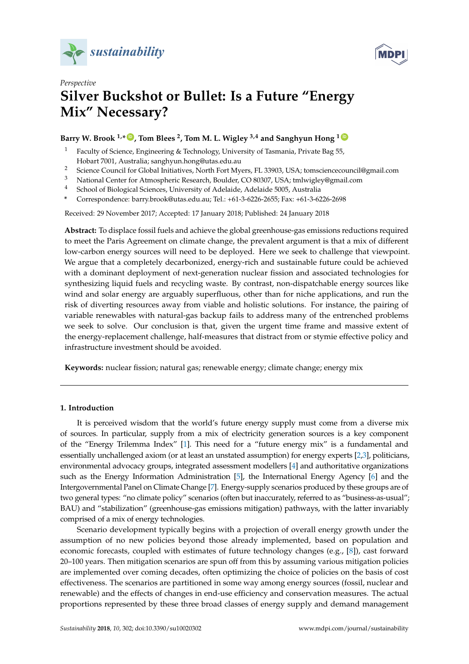



# *Perspective* **Silver Buckshot or Bullet: Is a Future "Energy Mix" Necessary?**

# **Barry W. Brook 1,\* [ID](https://orcid.org/0000-0002-2491-1517) , Tom Blees <sup>2</sup> , Tom M. L. Wigley 3,4 and Sanghyun Hong <sup>1</sup> [ID](https://orcid.org/0000-0001-6754-2291)**

- <sup>1</sup> Faculty of Science, Engineering & Technology, University of Tasmania, Private Bag 55, Hobart 7001, Australia; sanghyun.hong@utas.edu.au
- <sup>2</sup> Science Council for Global Initiatives, North Fort Myers, FL 33903, USA; tomsciencecouncil@gmail.com
- <sup>3</sup> National Center for Atmospheric Research, Boulder, CO 80307, USA; tmlwigley@gmail.com
- <sup>4</sup> School of Biological Sciences, University of Adelaide, Adelaide 5005, Australia
- **\*** Correspondence: barry.brook@utas.edu.au; Tel.: +61-3-6226-2655; Fax: +61-3-6226-2698

Received: 29 November 2017; Accepted: 17 January 2018; Published: 24 January 2018

**Abstract:** To displace fossil fuels and achieve the global greenhouse-gas emissions reductions required to meet the Paris Agreement on climate change, the prevalent argument is that a mix of different low-carbon energy sources will need to be deployed. Here we seek to challenge that viewpoint. We argue that a completely decarbonized, energy-rich and sustainable future could be achieved with a dominant deployment of next-generation nuclear fission and associated technologies for synthesizing liquid fuels and recycling waste. By contrast, non-dispatchable energy sources like wind and solar energy are arguably superfluous, other than for niche applications, and run the risk of diverting resources away from viable and holistic solutions. For instance, the pairing of variable renewables with natural-gas backup fails to address many of the entrenched problems we seek to solve. Our conclusion is that, given the urgent time frame and massive extent of the energy-replacement challenge, half-measures that distract from or stymie effective policy and infrastructure investment should be avoided.

**Keywords:** nuclear fission; natural gas; renewable energy; climate change; energy mix

#### **1. Introduction**

It is perceived wisdom that the world's future energy supply must come from a diverse mix of sources. In particular, supply from a mix of electricity generation sources is a key component of the "Energy Trilemma Index" [\[1\]](#page-8-0). This need for a "future energy mix" is a fundamental and essentially unchallenged axiom (or at least an unstated assumption) for energy experts [\[2](#page-8-1)[,3\]](#page-8-2), politicians, environmental advocacy groups, integrated assessment modellers [\[4\]](#page-8-3) and authoritative organizations such as the Energy Information Administration [\[5\]](#page-8-4), the International Energy Agency [\[6\]](#page-8-5) and the Intergovernmental Panel on Climate Change [\[7\]](#page-8-6). Energy-supply scenarios produced by these groups are of two general types: "no climate policy" scenarios (often but inaccurately, referred to as "business-as-usual"; BAU) and "stabilization" (greenhouse-gas emissions mitigation) pathways, with the latter invariably comprised of a mix of energy technologies.

Scenario development typically begins with a projection of overall energy growth under the assumption of no new policies beyond those already implemented, based on population and economic forecasts, coupled with estimates of future technology changes (e.g., [\[8\]](#page-9-0)), cast forward 20–100 years. Then mitigation scenarios are spun off from this by assuming various mitigation policies are implemented over coming decades, often optimizing the choice of policies on the basis of cost effectiveness. The scenarios are partitioned in some way among energy sources (fossil, nuclear and renewable) and the effects of changes in end-use efficiency and conservation measures. The actual proportions represented by these three broad classes of energy supply and demand management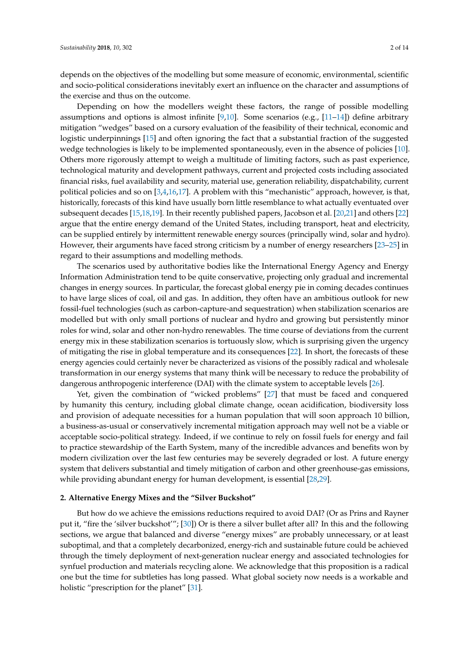depends on the objectives of the modelling but some measure of economic, environmental, scientific and socio-political considerations inevitably exert an influence on the character and assumptions of the exercise and thus on the outcome.

Depending on how the modellers weight these factors, the range of possible modelling assumptions and options is almost infinite [\[9,](#page-9-1)[10\]](#page-9-2). Some scenarios (e.g., [\[11](#page-9-3)[–14\]](#page-9-4)) define arbitrary mitigation "wedges" based on a cursory evaluation of the feasibility of their technical, economic and logistic underpinnings [\[15\]](#page-9-5) and often ignoring the fact that a substantial fraction of the suggested wedge technologies is likely to be implemented spontaneously, even in the absence of policies [\[10\]](#page-9-2). Others more rigorously attempt to weigh a multitude of limiting factors, such as past experience, technological maturity and development pathways, current and projected costs including associated financial risks, fuel availability and security, material use, generation reliability, dispatchability, current political policies and so on [\[3,](#page-8-2)[4](#page-8-3)[,16](#page-9-6)[,17\]](#page-9-7). A problem with this "mechanistic" approach, however, is that, historically, forecasts of this kind have usually born little resemblance to what actually eventuated over subsequent decades [\[15](#page-9-5)[,18,](#page-9-8)[19\]](#page-9-9). In their recently published papers, Jacobson et al. [\[20](#page-9-10)[,21\]](#page-9-11) and others [\[22\]](#page-9-12) argue that the entire energy demand of the United States, including transport, heat and electricity, can be supplied entirely by intermittent renewable energy sources (principally wind, solar and hydro). However, their arguments have faced strong criticism by a number of energy researchers [\[23](#page-9-13)[–25\]](#page-9-14) in regard to their assumptions and modelling methods.

The scenarios used by authoritative bodies like the International Energy Agency and Energy Information Administration tend to be quite conservative, projecting only gradual and incremental changes in energy sources. In particular, the forecast global energy pie in coming decades continues to have large slices of coal, oil and gas. In addition, they often have an ambitious outlook for new fossil-fuel technologies (such as carbon-capture-and sequestration) when stabilization scenarios are modelled but with only small portions of nuclear and hydro and growing but persistently minor roles for wind, solar and other non-hydro renewables. The time course of deviations from the current energy mix in these stabilization scenarios is tortuously slow, which is surprising given the urgency of mitigating the rise in global temperature and its consequences [\[22\]](#page-9-12). In short, the forecasts of these energy agencies could certainly never be characterized as visions of the possibly radical and wholesale transformation in our energy systems that many think will be necessary to reduce the probability of dangerous anthropogenic interference (DAI) with the climate system to acceptable levels [\[26\]](#page-9-15).

Yet, given the combination of "wicked problems" [\[27\]](#page-9-16) that must be faced and conquered by humanity this century, including global climate change, ocean acidification, biodiversity loss and provision of adequate necessities for a human population that will soon approach 10 billion, a business-as-usual or conservatively incremental mitigation approach may well not be a viable or acceptable socio-political strategy. Indeed, if we continue to rely on fossil fuels for energy and fail to practice stewardship of the Earth System, many of the incredible advances and benefits won by modern civilization over the last few centuries may be severely degraded or lost. A future energy system that delivers substantial and timely mitigation of carbon and other greenhouse-gas emissions, while providing abundant energy for human development, is essential [\[28](#page-9-17)[,29\]](#page-9-18).

#### **2. Alternative Energy Mixes and the "Silver Buckshot"**

But how do we achieve the emissions reductions required to avoid DAI? (Or as Prins and Rayner put it, "fire the 'silver buckshot'"; [\[30\]](#page-9-19)) Or is there a silver bullet after all? In this and the following sections, we argue that balanced and diverse "energy mixes" are probably unnecessary, or at least suboptimal, and that a completely decarbonized, energy-rich and sustainable future could be achieved through the timely deployment of next-generation nuclear energy and associated technologies for synfuel production and materials recycling alone. We acknowledge that this proposition is a radical one but the time for subtleties has long passed. What global society now needs is a workable and holistic "prescription for the planet" [\[31\]](#page-9-20).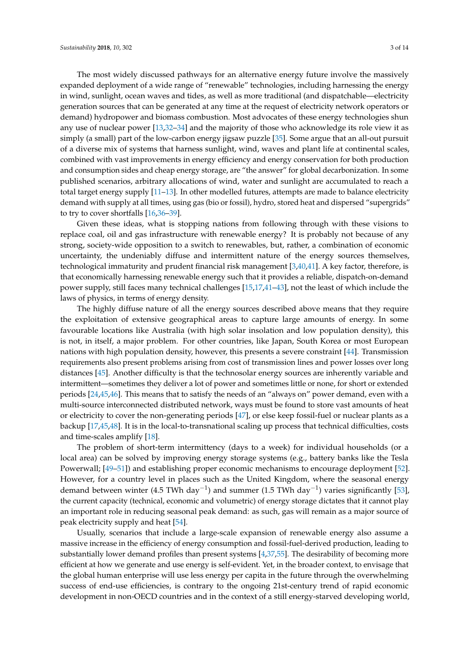The most widely discussed pathways for an alternative energy future involve the massively expanded deployment of a wide range of "renewable" technologies, including harnessing the energy in wind, sunlight, ocean waves and tides, as well as more traditional (and dispatchable—electricity generation sources that can be generated at any time at the request of electricity network operators or demand) hydropower and biomass combustion. Most advocates of these energy technologies shun any use of nuclear power [\[13,](#page-9-21)[32–](#page-10-0)[34\]](#page-10-1) and the majority of those who acknowledge its role view it as simply (a small) part of the low-carbon energy jigsaw puzzle [\[35\]](#page-10-2). Some argue that an all-out pursuit of a diverse mix of systems that harness sunlight, wind, waves and plant life at continental scales, combined with vast improvements in energy efficiency and energy conservation for both production and consumption sides and cheap energy storage, are "the answer" for global decarbonization. In some published scenarios, arbitrary allocations of wind, water and sunlight are accumulated to reach a total target energy supply [\[11](#page-9-3)[–13\]](#page-9-21). In other modelled futures, attempts are made to balance electricity demand with supply at all times, using gas (bio or fossil), hydro, stored heat and dispersed "supergrids" to try to cover shortfalls [\[16,](#page-9-6)[36–](#page-10-3)[39\]](#page-10-4).

Given these ideas, what is stopping nations from following through with these visions to replace coal, oil and gas infrastructure with renewable energy? It is probably not because of any strong, society-wide opposition to a switch to renewables, but, rather, a combination of economic uncertainty, the undeniably diffuse and intermittent nature of the energy sources themselves, technological immaturity and prudent financial risk management [\[3,](#page-8-2)[40,](#page-10-5)[41\]](#page-10-6). A key factor, therefore, is that economically harnessing renewable energy such that it provides a reliable, dispatch-on-demand power supply, still faces many technical challenges [\[15](#page-9-5)[,17](#page-9-7)[,41–](#page-10-6)[43\]](#page-10-7), not the least of which include the laws of physics, in terms of energy density.

The highly diffuse nature of all the energy sources described above means that they require the exploitation of extensive geographical areas to capture large amounts of energy. In some favourable locations like Australia (with high solar insolation and low population density), this is not, in itself, a major problem. For other countries, like Japan, South Korea or most European nations with high population density, however, this presents a severe constraint [\[44\]](#page-10-8). Transmission requirements also present problems arising from cost of transmission lines and power losses over long distances [\[45\]](#page-10-9). Another difficulty is that the technosolar energy sources are inherently variable and intermittent—sometimes they deliver a lot of power and sometimes little or none, for short or extended periods [\[24](#page-9-22)[,45](#page-10-9)[,46\]](#page-10-10). This means that to satisfy the needs of an "always on" power demand, even with a multi-source interconnected distributed network, ways must be found to store vast amounts of heat or electricity to cover the non-generating periods [\[47\]](#page-10-11), or else keep fossil-fuel or nuclear plants as a backup [\[17,](#page-9-7)[45,](#page-10-9)[48\]](#page-10-12). It is in the local-to-transnational scaling up process that technical difficulties, costs and time-scales amplify [\[18\]](#page-9-8).

The problem of short-term intermittency (days to a week) for individual households (or a local area) can be solved by improving energy storage systems (e.g., battery banks like the Tesla Powerwall; [\[49–](#page-10-13)[51\]](#page-10-14)) and establishing proper economic mechanisms to encourage deployment [\[52\]](#page-10-15). However, for a country level in places such as the United Kingdom, where the seasonal energy demand between winter (4.5 TWh day<sup>-1</sup>) and summer (1.5 TWh day<sup>-1</sup>) varies significantly [\[53\]](#page-10-16), the current capacity (technical, economic and volumetric) of energy storage dictates that it cannot play an important role in reducing seasonal peak demand: as such, gas will remain as a major source of peak electricity supply and heat [\[54\]](#page-10-17).

Usually, scenarios that include a large-scale expansion of renewable energy also assume a massive increase in the efficiency of energy consumption and fossil-fuel-derived production, leading to substantially lower demand profiles than present systems [\[4,](#page-8-3)[37](#page-10-18)[,55\]](#page-10-19). The desirability of becoming more efficient at how we generate and use energy is self-evident. Yet, in the broader context, to envisage that the global human enterprise will use less energy per capita in the future through the overwhelming success of end-use efficiencies, is contrary to the ongoing 21st-century trend of rapid economic development in non-OECD countries and in the context of a still energy-starved developing world,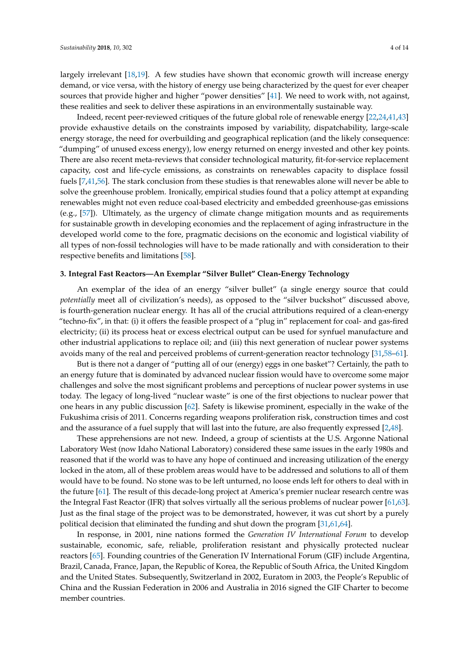largely irrelevant [\[18,](#page-9-8)[19\]](#page-9-9). A few studies have shown that economic growth will increase energy demand, or vice versa, with the history of energy use being characterized by the quest for ever cheaper sources that provide higher and higher "power densities" [\[41\]](#page-10-6). We need to work with, not against, these realities and seek to deliver these aspirations in an environmentally sustainable way.

Indeed, recent peer-reviewed critiques of the future global role of renewable energy [\[22,](#page-9-12)[24,](#page-9-22)[41](#page-10-6)[,43\]](#page-10-7) provide exhaustive details on the constraints imposed by variability, dispatchability, large-scale energy storage, the need for overbuilding and geographical replication (and the likely consequence: "dumping" of unused excess energy), low energy returned on energy invested and other key points. There are also recent meta-reviews that consider technological maturity, fit-for-service replacement capacity, cost and life-cycle emissions, as constraints on renewables capacity to displace fossil fuels [\[7,](#page-8-6)[41](#page-10-6)[,56\]](#page-11-0). The stark conclusion from these studies is that renewables alone will never be able to solve the greenhouse problem. Ironically, empirical studies found that a policy attempt at expanding renewables might not even reduce coal-based electricity and embedded greenhouse-gas emissions (e.g., [\[57\]](#page-11-1)). Ultimately, as the urgency of climate change mitigation mounts and as requirements for sustainable growth in developing economies and the replacement of aging infrastructure in the developed world come to the fore, pragmatic decisions on the economic and logistical viability of all types of non-fossil technologies will have to be made rationally and with consideration to their respective benefits and limitations [\[58\]](#page-11-2).

#### **3. Integral Fast Reactors—An Exemplar "Silver Bullet" Clean-Energy Technology**

An exemplar of the idea of an energy "silver bullet" (a single energy source that could *potentially* meet all of civilization's needs), as opposed to the "silver buckshot" discussed above, is fourth-generation nuclear energy. It has all of the crucial attributions required of a clean-energy "techno-fix", in that: (i) it offers the feasible prospect of a "plug in" replacement for coal- and gas-fired electricity; (ii) its process heat or excess electrical output can be used for synfuel manufacture and other industrial applications to replace oil; and (iii) this next generation of nuclear power systems avoids many of the real and perceived problems of current-generation reactor technology [\[31,](#page-9-20)[58](#page-11-2)[–61\]](#page-11-3).

But is there not a danger of "putting all of our (energy) eggs in one basket"? Certainly, the path to an energy future that is dominated by advanced nuclear fission would have to overcome some major challenges and solve the most significant problems and perceptions of nuclear power systems in use today. The legacy of long-lived "nuclear waste" is one of the first objections to nuclear power that one hears in any public discussion [\[62\]](#page-11-4). Safety is likewise prominent, especially in the wake of the Fukushima crisis of 2011. Concerns regarding weapons proliferation risk, construction times and cost and the assurance of a fuel supply that will last into the future, are also frequently expressed [\[2](#page-8-1)[,48\]](#page-10-12).

These apprehensions are not new. Indeed, a group of scientists at the U.S. Argonne National Laboratory West (now Idaho National Laboratory) considered these same issues in the early 1980s and reasoned that if the world was to have any hope of continued and increasing utilization of the energy locked in the atom, all of these problem areas would have to be addressed and solutions to all of them would have to be found. No stone was to be left unturned, no loose ends left for others to deal with in the future [\[61\]](#page-11-3). The result of this decade-long project at America's premier nuclear research centre was the Integral Fast Reactor (IFR) that solves virtually all the serious problems of nuclear power [\[61,](#page-11-3)[63\]](#page-11-5). Just as the final stage of the project was to be demonstrated, however, it was cut short by a purely political decision that eliminated the funding and shut down the program [\[31](#page-9-20)[,61](#page-11-3)[,64\]](#page-11-6).

In response, in 2001, nine nations formed the *Generation IV International Forum* to develop sustainable, economic, safe, reliable, proliferation resistant and physically protected nuclear reactors [\[65\]](#page-11-7). Founding countries of the Generation IV International Forum (GIF) include Argentina, Brazil, Canada, France, Japan, the Republic of Korea, the Republic of South Africa, the United Kingdom and the United States. Subsequently, Switzerland in 2002, Euratom in 2003, the People's Republic of China and the Russian Federation in 2006 and Australia in 2016 signed the GIF Charter to become member countries.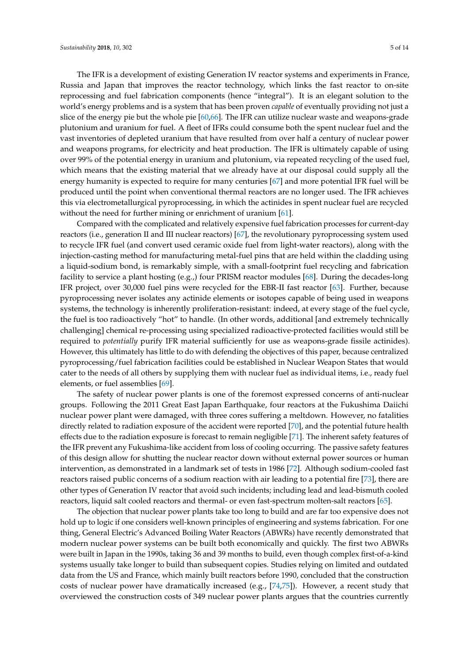The IFR is a development of existing Generation IV reactor systems and experiments in France, Russia and Japan that improves the reactor technology, which links the fast reactor to on-site reprocessing and fuel fabrication components (hence "integral"). It is an elegant solution to the world's energy problems and is a system that has been proven *capable* of eventually providing not just a slice of the energy pie but the whole pie [\[60](#page-11-8)[,66\]](#page-11-9). The IFR can utilize nuclear waste and weapons-grade plutonium and uranium for fuel. A fleet of IFRs could consume both the spent nuclear fuel and the vast inventories of depleted uranium that have resulted from over half a century of nuclear power and weapons programs, for electricity and heat production. The IFR is ultimately capable of using over 99% of the potential energy in uranium and plutonium, via repeated recycling of the used fuel, which means that the existing material that we already have at our disposal could supply all the energy humanity is expected to require for many centuries [\[67\]](#page-11-10) and more potential IFR fuel will be produced until the point when conventional thermal reactors are no longer used. The IFR achieves this via electrometallurgical pyroprocessing, in which the actinides in spent nuclear fuel are recycled without the need for further mining or enrichment of uranium [\[61\]](#page-11-3).

Compared with the complicated and relatively expensive fuel fabrication processes for current-day reactors (i.e., generation II and III nuclear reactors) [\[67\]](#page-11-10), the revolutionary pyroprocessing system used to recycle IFR fuel (and convert used ceramic oxide fuel from light-water reactors), along with the injection-casting method for manufacturing metal-fuel pins that are held within the cladding using a liquid-sodium bond, is remarkably simple, with a small-footprint fuel recycling and fabrication facility to service a plant hosting (e.g.,) four PRISM reactor modules [\[68\]](#page-11-11). During the decades-long IFR project, over 30,000 fuel pins were recycled for the EBR-II fast reactor [\[63\]](#page-11-5). Further, because pyroprocessing never isolates any actinide elements or isotopes capable of being used in weapons systems, the technology is inherently proliferation-resistant: indeed, at every stage of the fuel cycle, the fuel is too radioactively "hot" to handle. (In other words, additional [and extremely technically challenging] chemical re-processing using specialized radioactive-protected facilities would still be required to *potentially* purify IFR material sufficiently for use as weapons-grade fissile actinides). However, this ultimately has little to do with defending the objectives of this paper, because centralized pyroprocessing/fuel fabrication facilities could be established in Nuclear Weapon States that would cater to the needs of all others by supplying them with nuclear fuel as individual items, i.e., ready fuel elements, or fuel assemblies [\[69\]](#page-11-12).

The safety of nuclear power plants is one of the foremost expressed concerns of anti-nuclear groups. Following the 2011 Great East Japan Earthquake, four reactors at the Fukushima Daiichi nuclear power plant were damaged, with three cores suffering a meltdown. However, no fatalities directly related to radiation exposure of the accident were reported [\[70\]](#page-11-13), and the potential future health effects due to the radiation exposure is forecast to remain negligible [\[71\]](#page-11-14). The inherent safety features of the IFR prevent any Fukushima-like accident from loss of cooling occurring. The passive safety features of this design allow for shutting the nuclear reactor down without external power sources or human intervention, as demonstrated in a landmark set of tests in 1986 [\[72\]](#page-11-15). Although sodium-cooled fast reactors raised public concerns of a sodium reaction with air leading to a potential fire [\[73\]](#page-11-16), there are other types of Generation IV reactor that avoid such incidents; including lead and lead-bismuth cooled reactors, liquid salt cooled reactors and thermal- or even fast-spectrum molten-salt reactors [\[65\]](#page-11-7).

The objection that nuclear power plants take too long to build and are far too expensive does not hold up to logic if one considers well-known principles of engineering and systems fabrication. For one thing, General Electric's Advanced Boiling Water Reactors (ABWRs) have recently demonstrated that modern nuclear power systems can be built both economically and quickly. The first two ABWRs were built in Japan in the 1990s, taking 36 and 39 months to build, even though complex first-of-a-kind systems usually take longer to build than subsequent copies. Studies relying on limited and outdated data from the US and France, which mainly built reactors before 1990, concluded that the construction costs of nuclear power have dramatically increased (e.g.,  $[74,75]$  $[74,75]$ ). However, a recent study that overviewed the construction costs of 349 nuclear power plants argues that the countries currently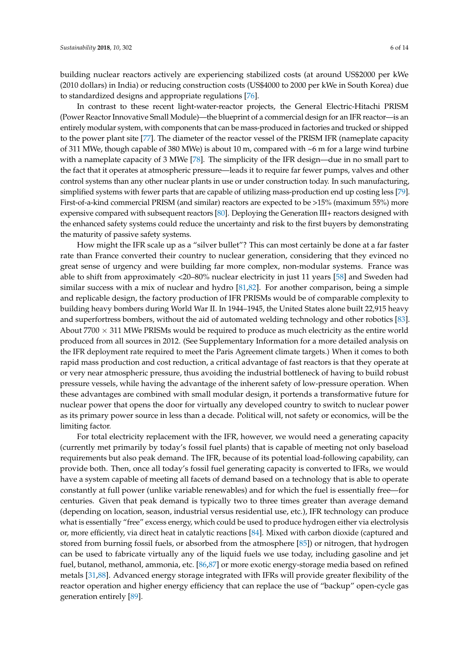building nuclear reactors actively are experiencing stabilized costs (at around US\$2000 per kWe (2010 dollars) in India) or reducing construction costs (US\$4000 to 2000 per kWe in South Korea) due to standardized designs and appropriate regulations [\[76\]](#page-11-19).

In contrast to these recent light-water-reactor projects, the General Electric-Hitachi PRISM (Power Reactor Innovative Small Module)—the blueprint of a commercial design for an IFR reactor—is an entirely modular system, with components that can be mass-produced in factories and trucked or shipped to the power plant site [\[77\]](#page-11-20). The diameter of the reactor vessel of the PRISM IFR (nameplate capacity of 311 MWe, though capable of 380 MWe) is about 10 m, compared with ~6 m for a large wind turbine with a nameplate capacity of 3 MWe [\[78\]](#page-12-0). The simplicity of the IFR design—due in no small part to the fact that it operates at atmospheric pressure—leads it to require far fewer pumps, valves and other control systems than any other nuclear plants in use or under construction today. In such manufacturing, simplified systems with fewer parts that are capable of utilizing mass-production end up costing less [\[79\]](#page-12-1). First-of-a-kind commercial PRISM (and similar) reactors are expected to be >15% (maximum 55%) more expensive compared with subsequent reactors [\[80\]](#page-12-2). Deploying the Generation III+ reactors designed with the enhanced safety systems could reduce the uncertainty and risk to the first buyers by demonstrating the maturity of passive safety systems.

How might the IFR scale up as a "silver bullet"? This can most certainly be done at a far faster rate than France converted their country to nuclear generation, considering that they evinced no great sense of urgency and were building far more complex, non-modular systems. France was able to shift from approximately <20–80% nuclear electricity in just 11 years [\[58\]](#page-11-2) and Sweden had similar success with a mix of nuclear and hydro [\[81](#page-12-3)[,82\]](#page-12-4). For another comparison, being a simple and replicable design, the factory production of IFR PRISMs would be of comparable complexity to building heavy bombers during World War II. In 1944–1945, the United States alone built 22,915 heavy and superfortress bombers, without the aid of automated welding technology and other robotics [\[83\]](#page-12-5). About  $7700 \times 311$  MWe PRISMs would be required to produce as much electricity as the entire world produced from all sources in 2012. (See Supplementary Information for a more detailed analysis on the IFR deployment rate required to meet the Paris Agreement climate targets.) When it comes to both rapid mass production and cost reduction, a critical advantage of fast reactors is that they operate at or very near atmospheric pressure, thus avoiding the industrial bottleneck of having to build robust pressure vessels, while having the advantage of the inherent safety of low-pressure operation. When these advantages are combined with small modular design, it portends a transformative future for nuclear power that opens the door for virtually any developed country to switch to nuclear power as its primary power source in less than a decade. Political will, not safety or economics, will be the limiting factor.

For total electricity replacement with the IFR, however, we would need a generating capacity (currently met primarily by today's fossil fuel plants) that is capable of meeting not only baseload requirements but also peak demand. The IFR, because of its potential load-following capability, can provide both. Then, once all today's fossil fuel generating capacity is converted to IFRs, we would have a system capable of meeting all facets of demand based on a technology that is able to operate constantly at full power (unlike variable renewables) and for which the fuel is essentially free—for centuries. Given that peak demand is typically two to three times greater than average demand (depending on location, season, industrial versus residential use, etc.), IFR technology can produce what is essentially "free" excess energy, which could be used to produce hydrogen either via electrolysis or, more efficiently, via direct heat in catalytic reactions [\[84\]](#page-12-6). Mixed with carbon dioxide (captured and stored from burning fossil fuels, or absorbed from the atmosphere [\[85\]](#page-12-7)) or nitrogen, that hydrogen can be used to fabricate virtually any of the liquid fuels we use today, including gasoline and jet fuel, butanol, methanol, ammonia, etc. [\[86](#page-12-8)[,87\]](#page-12-9) or more exotic energy-storage media based on refined metals [\[31](#page-9-20)[,88\]](#page-12-10). Advanced energy storage integrated with IFRs will provide greater flexibility of the reactor operation and higher energy efficiency that can replace the use of "backup" open-cycle gas generation entirely [\[89\]](#page-12-11).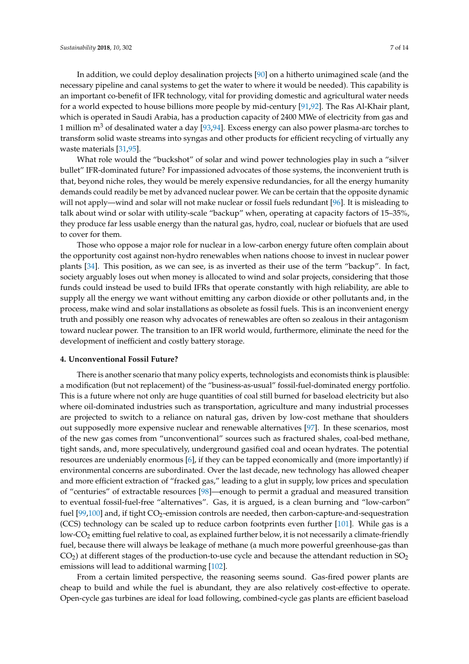In addition, we could deploy desalination projects [\[90\]](#page-12-12) on a hitherto unimagined scale (and the necessary pipeline and canal systems to get the water to where it would be needed). This capability is an important co-benefit of IFR technology, vital for providing domestic and agricultural water needs for a world expected to house billions more people by mid-century [\[91](#page-12-13)[,92\]](#page-12-14). The Ras Al-Khair plant, which is operated in Saudi Arabia, has a production capacity of 2400 MWe of electricity from gas and 1 million  $\text{m}^3$  of desalinated water a day [\[93,](#page-12-15)[94\]](#page-12-16). Excess energy can also power plasma-arc torches to transform solid waste streams into syngas and other products for efficient recycling of virtually any waste materials [\[31,](#page-9-20)[95\]](#page-12-17).

What role would the "buckshot" of solar and wind power technologies play in such a "silver bullet" IFR-dominated future? For impassioned advocates of those systems, the inconvenient truth is that, beyond niche roles, they would be merely expensive redundancies, for all the energy humanity demands could readily be met by advanced nuclear power. We can be certain that the opposite dynamic will not apply—wind and solar will not make nuclear or fossil fuels redundant [\[96\]](#page-12-18). It is misleading to talk about wind or solar with utility-scale "backup" when, operating at capacity factors of 15–35%, they produce far less usable energy than the natural gas, hydro, coal, nuclear or biofuels that are used to cover for them.

Those who oppose a major role for nuclear in a low-carbon energy future often complain about the opportunity cost against non-hydro renewables when nations choose to invest in nuclear power plants [\[34\]](#page-10-1). This position, as we can see, is as inverted as their use of the term "backup". In fact, society arguably loses out when money is allocated to wind and solar projects, considering that those funds could instead be used to build IFRs that operate constantly with high reliability, are able to supply all the energy we want without emitting any carbon dioxide or other pollutants and, in the process, make wind and solar installations as obsolete as fossil fuels. This is an inconvenient energy truth and possibly one reason why advocates of renewables are often so zealous in their antagonism toward nuclear power. The transition to an IFR world would, furthermore, eliminate the need for the development of inefficient and costly battery storage.

#### **4. Unconventional Fossil Future?**

There is another scenario that many policy experts, technologists and economists think is plausible: a modification (but not replacement) of the "business-as-usual" fossil-fuel-dominated energy portfolio. This is a future where not only are huge quantities of coal still burned for baseload electricity but also where oil-dominated industries such as transportation, agriculture and many industrial processes are projected to switch to a reliance on natural gas, driven by low-cost methane that shoulders out supposedly more expensive nuclear and renewable alternatives [\[97\]](#page-12-19). In these scenarios, most of the new gas comes from "unconventional" sources such as fractured shales, coal-bed methane, tight sands, and, more speculatively, underground gasified coal and ocean hydrates. The potential resources are undeniably enormous [\[6\]](#page-8-5), if they can be tapped economically and (more importantly) if environmental concerns are subordinated. Over the last decade, new technology has allowed cheaper and more efficient extraction of "fracked gas," leading to a glut in supply, low prices and speculation of "centuries" of extractable resources [\[98\]](#page-12-20)—enough to permit a gradual and measured transition to eventual fossil-fuel-free "alternatives". Gas, it is argued, is a clean burning and "low-carbon" fuel  $[99,100]$  $[99,100]$  and, if tight  $CO<sub>2</sub>$ -emission controls are needed, then carbon-capture-and-sequestration (CCS) technology can be scaled up to reduce carbon footprints even further [\[101\]](#page-12-23). While gas is a low-CO<sub>2</sub> emitting fuel relative to coal, as explained further below, it is not necessarily a climate-friendly fuel, because there will always be leakage of methane (a much more powerful greenhouse-gas than  $CO<sub>2</sub>$ ) at different stages of the production-to-use cycle and because the attendant reduction in  $SO<sub>2</sub>$ emissions will lead to additional warming [\[102\]](#page-13-0).

From a certain limited perspective, the reasoning seems sound. Gas-fired power plants are cheap to build and while the fuel is abundant, they are also relatively cost-effective to operate. Open-cycle gas turbines are ideal for load following, combined-cycle gas plants are efficient baseload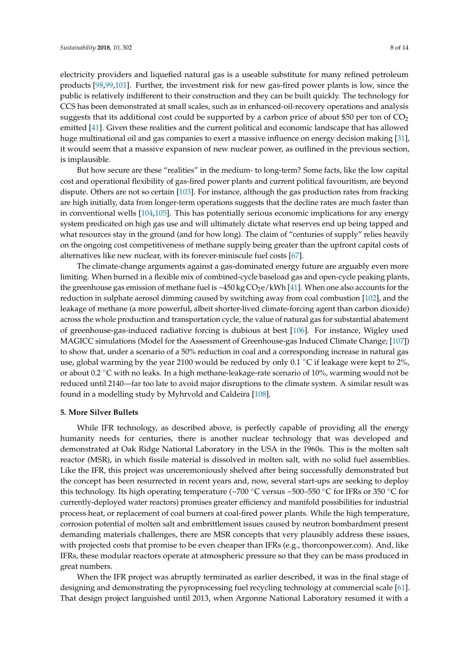electricity providers and liquefied natural gas is a useable substitute for many refined petroleum products [\[98,](#page-12-20)[99,](#page-12-21)[101\]](#page-12-23). Further, the investment risk for new gas-fired power plants is low, since the public is relatively indifferent to their construction and they can be built quickly. The technology for CCS has been demonstrated at small scales, such as in enhanced-oil-recovery operations and analysis suggests that its additional cost could be supported by a carbon price of about \$50 per ton of  $CO<sub>2</sub>$ emitted [\[41\]](#page-10-6). Given these realities and the current political and economic landscape that has allowed huge multinational oil and gas companies to exert a massive influence on energy decision making [\[31\]](#page-9-20), it would seem that a massive expansion of new nuclear power, as outlined in the previous section, is implausible.

But how secure are these "realities" in the medium- to long-term? Some facts, like the low capital cost and operational flexibility of gas-fired power plants and current political favouritism, are beyond dispute. Others are not so certain [\[103\]](#page-13-1). For instance, although the gas production rates from fracking are high initially, data from longer-term operations suggests that the decline rates are much faster than in conventional wells [\[104,](#page-13-2)[105\]](#page-13-3). This has potentially serious economic implications for any energy system predicated on high gas use and will ultimately dictate what reserves end up being tapped and what resources stay in the ground (and for how long). The claim of "centuries of supply" relies heavily on the ongoing cost competitiveness of methane supply being greater than the upfront capital costs of alternatives like new nuclear, with its forever-miniscule fuel costs [\[67\]](#page-11-10).

The climate-change arguments against a gas-dominated energy future are arguably even more limiting. When burned in a flexible mix of combined-cycle baseload gas and open-cycle peaking plants, the greenhouse gas emission of methane fuel is ~450 kg  $CO<sub>2</sub>e/kWh$  [\[41\]](#page-10-6). When one also accounts for the reduction in sulphate aerosol dimming caused by switching away from coal combustion [\[102\]](#page-13-0), and the leakage of methane (a more powerful, albeit shorter-lived climate-forcing agent than carbon dioxide) across the whole production and transportation cycle, the value of natural gas for substantial abatement of greenhouse-gas-induced radiative forcing is dubious at best [\[106\]](#page-13-4). For instance, Wigley used MAGICC simulations (Model for the Assessment of Greenhouse-gas Induced Climate Change; [\[107\]](#page-13-5)) to show that, under a scenario of a 50% reduction in coal and a corresponding increase in natural gas use, global warming by the year 2100 would be reduced by only  $0.1 \degree$ C if leakage were kept to 2%, or about 0.2 ◦C with no leaks. In a high methane-leakage-rate scenario of 10%, warming would not be reduced until 2140—far too late to avoid major disruptions to the climate system. A similar result was found in a modelling study by Myhrvold and Caldeira [\[108\]](#page-13-6).

#### **5. More Silver Bullets**

While IFR technology, as described above, is perfectly capable of providing all the energy humanity needs for centuries, there is another nuclear technology that was developed and demonstrated at Oak Ridge National Laboratory in the USA in the 1960s. This is the molten salt reactor (MSR), in which fissile material is dissolved in molten salt, with no solid fuel assemblies. Like the IFR, this project was unceremoniously shelved after being successfully demonstrated but the concept has been resurrected in recent years and, now, several start-ups are seeking to deploy this technology. Its high operating temperature (~700 °C versus ~500–550 °C for IFRs or 350 °C for currently-deployed water reactors) promises greater efficiency and manifold possibilities for industrial process heat, or replacement of coal burners at coal-fired power plants. While the high temperature, corrosion potential of molten salt and embrittlement issues caused by neutron bombardment present demanding materials challenges, there are MSR concepts that very plausibly address these issues, with projected costs that promise to be even cheaper than IFRs (e.g., thorconpower.com). And, like IFRs, these modular reactors operate at atmospheric pressure so that they can be mass produced in great numbers.

When the IFR project was abruptly terminated as earlier described, it was in the final stage of designing and demonstrating the pyroprocessing fuel recycling technology at commercial scale [\[61\]](#page-11-3). That design project languished until 2013, when Argonne National Laboratory resumed it with a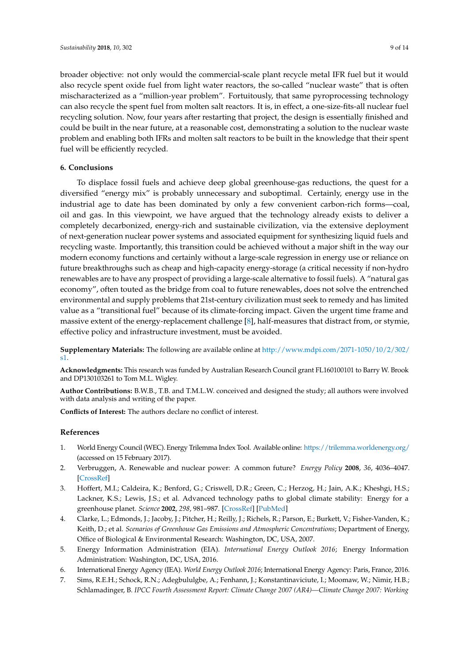broader objective: not only would the commercial-scale plant recycle metal IFR fuel but it would also recycle spent oxide fuel from light water reactors, the so-called "nuclear waste" that is often mischaracterized as a "million-year problem". Fortuitously, that same pyroprocessing technology can also recycle the spent fuel from molten salt reactors. It is, in effect, a one-size-fits-all nuclear fuel recycling solution. Now, four years after restarting that project, the design is essentially finished and could be built in the near future, at a reasonable cost, demonstrating a solution to the nuclear waste problem and enabling both IFRs and molten salt reactors to be built in the knowledge that their spent fuel will be efficiently recycled.

## **6. Conclusions**

To displace fossil fuels and achieve deep global greenhouse-gas reductions, the quest for a diversified "energy mix" is probably unnecessary and suboptimal. Certainly, energy use in the industrial age to date has been dominated by only a few convenient carbon-rich forms—coal, oil and gas. In this viewpoint, we have argued that the technology already exists to deliver a completely decarbonized, energy-rich and sustainable civilization, via the extensive deployment of next-generation nuclear power systems and associated equipment for synthesizing liquid fuels and recycling waste. Importantly, this transition could be achieved without a major shift in the way our modern economy functions and certainly without a large-scale regression in energy use or reliance on future breakthroughs such as cheap and high-capacity energy-storage (a critical necessity if non-hydro renewables are to have any prospect of providing a large-scale alternative to fossil fuels). A "natural gas economy", often touted as the bridge from coal to future renewables, does not solve the entrenched environmental and supply problems that 21st-century civilization must seek to remedy and has limited value as a "transitional fuel" because of its climate-forcing impact. Given the urgent time frame and massive extent of the energy-replacement challenge [\[8\]](#page-9-0), half-measures that distract from, or stymie, effective policy and infrastructure investment, must be avoided.

**Supplementary Materials:** The following are available online at [http://www.mdpi.com/2071-1050/10/2/302/](http://www.mdpi.com/2071-1050/10/2/302/s1) [s1.](http://www.mdpi.com/2071-1050/10/2/302/s1)

**Acknowledgments:** This research was funded by Australian Research Council grant FL160100101 to Barry W. Brook and DP130103261 to Tom M.L. Wigley.

**Author Contributions:** B.W.B., T.B. and T.M.L.W. conceived and designed the study; all authors were involved with data analysis and writing of the paper.

**Conflicts of Interest:** The authors declare no conflict of interest.

## **References**

- <span id="page-8-0"></span>1. World Energy Council (WEC). Energy Trilemma Index Tool. Available online: <https://trilemma.worldenergy.org/> (accessed on 15 February 2017).
- <span id="page-8-1"></span>2. Verbruggen, A. Renewable and nuclear power: A common future? *Energy Policy* **2008**, *36*, 4036–4047. [\[CrossRef\]](http://dx.doi.org/10.1016/j.enpol.2008.06.024)
- <span id="page-8-2"></span>3. Hoffert, M.I.; Caldeira, K.; Benford, G.; Criswell, D.R.; Green, C.; Herzog, H.; Jain, A.K.; Kheshgi, H.S.; Lackner, K.S.; Lewis, J.S.; et al. Advanced technology paths to global climate stability: Energy for a greenhouse planet. *Science* **2002**, *298*, 981–987. [\[CrossRef\]](http://dx.doi.org/10.1126/science.1072357) [\[PubMed\]](http://www.ncbi.nlm.nih.gov/pubmed/12411695)
- <span id="page-8-3"></span>4. Clarke, L.; Edmonds, J.; Jacoby, J.; Pitcher, H.; Reilly, J.; Richels, R.; Parson, E.; Burkett, V.; Fisher-Vanden, K.; Keith, D.; et al. *Scenarios of Greenhouse Gas Emissions and Atmospheric Concentrations*; Department of Energy, Office of Biological & Environmental Research: Washington, DC, USA, 2007.
- <span id="page-8-4"></span>5. Energy Information Administration (EIA). *International Energy Outlook 2016*; Energy Information Administration: Washington, DC, USA, 2016.
- <span id="page-8-5"></span>6. International Energy Agency (IEA). *World Energy Outlook 2016*; International Energy Agency: Paris, France, 2016.
- <span id="page-8-6"></span>7. Sims, R.E.H.; Schock, R.N.; Adegbululgbe, A.; Fenhann, J.; Konstantinaviciute, I.; Moomaw, W.; Nimir, H.B.; Schlamadinger, B. *IPCC Fourth Assessment Report: Climate Change 2007 (AR4)—Climate Change 2007: Working*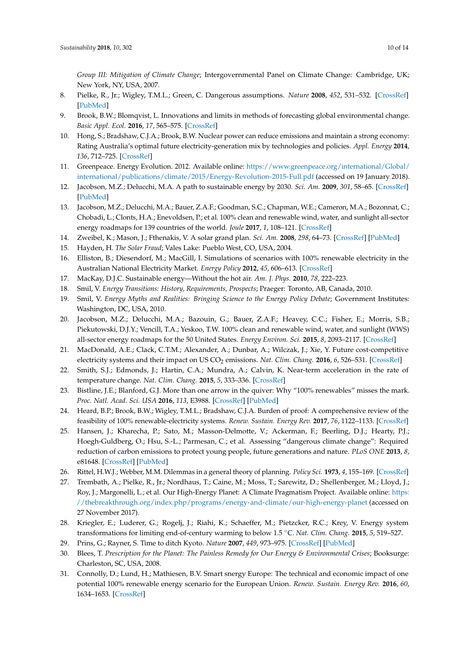*Group III: Mitigation of Climate Change*; Intergovernmental Panel on Climate Change: Cambridge, UK; New York, NY, USA, 2007.

- <span id="page-9-0"></span>8. Pielke, R., Jr.; Wigley, T.M.L.; Green, C. Dangerous assumptions. *Nature* **2008**, *452*, 531–532. [\[CrossRef\]](http://dx.doi.org/10.1038/452531a) [\[PubMed\]](http://www.ncbi.nlm.nih.gov/pubmed/18385715)
- <span id="page-9-1"></span>9. Brook, B.W.; Blomqvist, L. Innovations and limits in methods of forecasting global environmental change. *Basic Appl. Ecol.* **2016**, *17*, 565–575. [\[CrossRef\]](http://dx.doi.org/10.1016/j.baae.2016.06.002)
- <span id="page-9-2"></span>10. Hong, S.; Bradshaw, C.J.A.; Brook, B.W. Nuclear power can reduce emissions and maintain a strong economy: Rating Australia's optimal future electricity-generation mix by technologies and policies. *Appl. Energy* **2014**, *136*, 712–725. [\[CrossRef\]](http://dx.doi.org/10.1016/j.apenergy.2014.09.062)
- <span id="page-9-3"></span>11. Greenpeace. Energy Evolution. 2012. Available online: [https://www.greenpeace.org/international/Global/](https://www.greenpeace.org/international/Global/international/publications/climate/2015/Energy-Revolution-2015-Full.pdf) [international/publications/climate/2015/Energy-Revolution-2015-Full.pdf](https://www.greenpeace.org/international/Global/international/publications/climate/2015/Energy-Revolution-2015-Full.pdf) (accessed on 19 January 2018).
- 12. Jacobson, M.Z.; Delucchi, M.A. A path to sustainable energy by 2030. *Sci. Am.* **2009**, *301*, 58–65. [\[CrossRef\]](http://dx.doi.org/10.1038/scientificamerican1109-58) [\[PubMed\]](http://www.ncbi.nlm.nih.gov/pubmed/19873905)
- <span id="page-9-21"></span>13. Jacobson, M.Z.; Delucchi, M.A.; Bauer, Z.A.F.; Goodman, S.C.; Chapman, W.E.; Cameron, M.A.; Bozonnat, C.; Chobadi, L.; Clonts, H.A.; Enevoldsen, P.; et al. 100% clean and renewable wind, water, and sunlight all-sector energy roadmaps for 139 countries of the world. *Joule* **2017**, *1*, 108–121. [\[CrossRef\]](http://dx.doi.org/10.1016/j.joule.2017.07.005)
- <span id="page-9-4"></span>14. Zweibel, K.; Mason, J.; Fthenakis, V. A solar grand plan. *Sci. Am.* **2008**, *298*, 64–73. [\[CrossRef\]](http://dx.doi.org/10.1038/scientificamerican0108-64) [\[PubMed\]](http://www.ncbi.nlm.nih.gov/pubmed/18225697)
- <span id="page-9-5"></span>15. Hayden, H. *The Solar Fraud*; Vales Lake: Pueblo West, CO, USA, 2004.
- <span id="page-9-6"></span>16. Elliston, B.; Diesendorf, M.; MacGill, I. Simulations of scenarios with 100% renewable electricity in the Australian National Electricity Market. *Energy Policy* **2012**, *45*, 606–613. [\[CrossRef\]](http://dx.doi.org/10.1016/j.enpol.2012.03.011)
- <span id="page-9-8"></span><span id="page-9-7"></span>17. MacKay, D.J.C. Sustainable energy—Without the hot air. *Am. J. Phys.* **2010**, *78*, 222–223.
- 18. Smil, V. *Energy Transitions: History, Requirements, Prospects*; Praeger: Toronto, AB, Canada, 2010.
- <span id="page-9-9"></span>19. Smil, V. *Energy Myths and Realities: Bringing Science to the Energy Policy Debate*; Government Institutes: Washington, DC, USA, 2010.
- <span id="page-9-10"></span>20. Jacobson, M.Z.; Delucchi, M.A.; Bazouin, G.; Bauer, Z.A.F.; Heavey, C.C.; Fisher, E.; Morris, S.B.; Piekutowski, D.J.Y.; Vencill, T.A.; Yeskoo, T.W. 100% clean and renewable wind, water, and sunlight (WWS) all-sector energy roadmaps for the 50 United States. *Energy Environ. Sci.* **2015**, *8*, 2093–2117. [\[CrossRef\]](http://dx.doi.org/10.1039/C5EE01283J)
- <span id="page-9-11"></span>21. MacDonald, A.E.; Clack, C.T.M.; Alexander, A.; Dunbar, A.; Wilczak, J.; Xie, Y. Future cost-competitive electricity systems and their impact on US CO<sub>2</sub> emissions. *Nat. Clim. Chang.* **2016**, *6*, 526–531. [\[CrossRef\]](http://dx.doi.org/10.1038/nclimate2921)
- <span id="page-9-12"></span>22. Smith, S.J.; Edmonds, J.; Hartin, C.A.; Mundra, A.; Calvin, K. Near-term acceleration in the rate of temperature change. *Nat. Clim. Chang.* **2015**, *5*, 333–336. [\[CrossRef\]](http://dx.doi.org/10.1038/nclimate2552)
- <span id="page-9-13"></span>23. Bistline, J.E.; Blanford, G.J. More than one arrow in the quiver: Why "100% renewables" misses the mark. *Proc. Natl. Acad. Sci. USA* **2016**, *113*, E3988. [\[CrossRef\]](http://dx.doi.org/10.1073/pnas.1603072113) [\[PubMed\]](http://www.ncbi.nlm.nih.gov/pubmed/27364013)
- <span id="page-9-22"></span>24. Heard, B.P.; Brook, B.W.; Wigley, T.M.L.; Bradshaw, C.J.A. Burden of proof: A comprehensive review of the feasibility of 100% renewable-electricity systems. *Renew. Sustain. Energy Rev.* **2017**, *76*, 1122–1133. [\[CrossRef\]](http://dx.doi.org/10.1016/j.rser.2017.03.114)
- <span id="page-9-14"></span>25. Hansen, J.; Kharecha, P.; Sato, M.; Masson-Delmotte, V.; Ackerman, F.; Beerling, D.J.; Hearty, P.J.; Hoegh-Guldberg, O.; Hsu, S.-L.; Parmesan, C.; et al. Assessing "dangerous climate change": Required reduction of carbon emissions to protect young people, future generations and nature. *PLoS ONE* **2013**, *8*, e81648. [\[CrossRef\]](http://dx.doi.org/10.1371/journal.pone.0081648) [\[PubMed\]](http://www.ncbi.nlm.nih.gov/pubmed/24312568)
- <span id="page-9-15"></span>26. Rittel, H.W.J.; Webber, M.M. Dilemmas in a general theory of planning. *Policy Sci.* **1973**, *4*, 155–169. [\[CrossRef\]](http://dx.doi.org/10.1007/BF01405730)
- <span id="page-9-16"></span>27. Trembath, A.; Pielke, R., Jr.; Nordhaus, T.; Caine, M.; Moss, T.; Sarewitz, D.; Shellenberger, M.; Lloyd, J.; Roy, J.; Margonelli, L.; et al. Our High-Energy Planet: A Climate Pragmatism Project. Available online: [https:](https://thebreakthrough.org/index.php/programs/energy-and-climate/our-high-energy-planet) [//thebreakthrough.org/index.php/programs/energy-and-climate/our-high-energy-planet](https://thebreakthrough.org/index.php/programs/energy-and-climate/our-high-energy-planet) (accessed on 27 November 2017).
- <span id="page-9-17"></span>28. Kriegler, E.; Luderer, G.; Rogelj, J.; Riahi, K.; Schaeffer, M.; Pietzcker, R.C.; Krey, V. Energy system transformations for limiting end-of-century warming to below 1.5 ◦C. *Nat. Clim. Chang.* **2015**, *5*, 519–527.
- <span id="page-9-18"></span>29. Prins, G.; Rayner, S. Time to ditch Kyoto. *Nature* **2007**, *449*, 973–975. [\[CrossRef\]](http://dx.doi.org/10.1038/449973a) [\[PubMed\]](http://www.ncbi.nlm.nih.gov/pubmed/17960215)
- <span id="page-9-19"></span>30. Blees, T. *Prescription for the Planet: The Painless Remedy for Our Energy & Environmental Crises*; Booksurge: Charleston, SC, USA, 2008.
- <span id="page-9-20"></span>31. Connolly, D.; Lund, H.; Mathiesen, B.V. Smart snergy Europe: The technical and economic impact of one potential 100% renewable energy scenario for the European Union. *Renew. Sustain. Energy Rev.* **2016**, *60*, 1634–1653. [\[CrossRef\]](http://dx.doi.org/10.1016/j.rser.2016.02.025)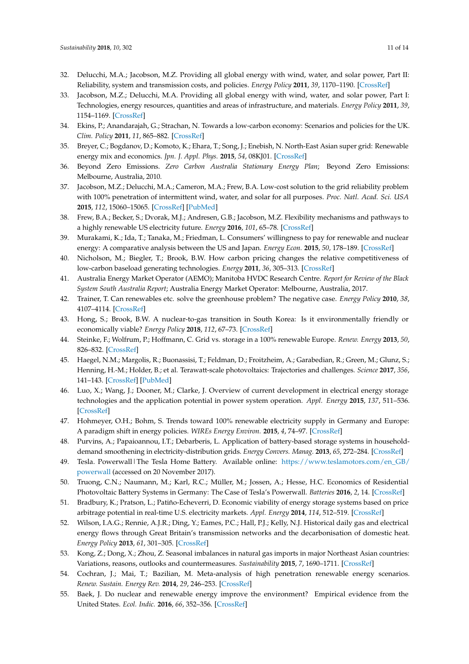- <span id="page-10-0"></span>32. Delucchi, M.A.; Jacobson, M.Z. Providing all global energy with wind, water, and solar power, Part II: Reliability, system and transmission costs, and policies. *Energy Policy* **2011**, *39*, 1170–1190. [\[CrossRef\]](http://dx.doi.org/10.1016/j.enpol.2010.11.045)
- 33. Jacobson, M.Z.; Delucchi, M.A. Providing all global energy with wind, water, and solar power, Part I: Technologies, energy resources, quantities and areas of infrastructure, and materials. *Energy Policy* **2011**, *39*, 1154–1169. [\[CrossRef\]](http://dx.doi.org/10.1016/j.enpol.2010.11.040)
- <span id="page-10-1"></span>34. Ekins, P.; Anandarajah, G.; Strachan, N. Towards a low-carbon economy: Scenarios and policies for the UK. *Clim. Policy* **2011**, *11*, 865–882. [\[CrossRef\]](http://dx.doi.org/10.3763/cpol.2010.0126)
- <span id="page-10-2"></span>35. Breyer, C.; Bogdanov, D.; Komoto, K.; Ehara, T.; Song, J.; Enebish, N. North-East Asian super grid: Renewable energy mix and economics. *Jpn. J. Appl. Phys.* **2015**, *54*, 08KJ01. [\[CrossRef\]](http://dx.doi.org/10.7567/JJAP.54.08KJ01)
- <span id="page-10-3"></span>36. Beyond Zero Emissions. *Zero Carbon Australia Stationary Energy Plan*; Beyond Zero Emissions: Melbourne, Australia, 2010.
- <span id="page-10-18"></span>37. Jacobson, M.Z.; Delucchi, M.A.; Cameron, M.A.; Frew, B.A. Low-cost solution to the grid reliability problem with 100% penetration of intermittent wind, water, and solar for all purposes. *Proc. Natl. Acad. Sci. USA* **2015**, *112*, 15060–15065. [\[CrossRef\]](http://dx.doi.org/10.1073/pnas.1510028112) [\[PubMed\]](http://www.ncbi.nlm.nih.gov/pubmed/26598655)
- 38. Frew, B.A.; Becker, S.; Dvorak, M.J.; Andresen, G.B.; Jacobson, M.Z. Flexibility mechanisms and pathways to a highly renewable US electricity future. *Energy* **2016**, *101*, 65–78. [\[CrossRef\]](http://dx.doi.org/10.1016/j.energy.2016.01.079)
- <span id="page-10-4"></span>39. Murakami, K.; Ida, T.; Tanaka, M.; Friedman, L. Consumers' willingness to pay for renewable and nuclear energy: A comparative analysis between the US and Japan. *Energy Econ.* **2015**, *50*, 178–189. [\[CrossRef\]](http://dx.doi.org/10.1016/j.eneco.2015.05.002)
- <span id="page-10-5"></span>40. Nicholson, M.; Biegler, T.; Brook, B.W. How carbon pricing changes the relative competitiveness of low-carbon baseload generating technologies. *Energy* **2011**, *36*, 305–313. [\[CrossRef\]](http://dx.doi.org/10.1016/j.energy.2010.10.039)
- <span id="page-10-6"></span>41. Australia Energy Market Operator (AEMO); Manitoba HVDC Research Centre. *Report for Review of the Black System South Australia Report*; Australia Energy Market Operator: Melbourne, Australia, 2017.
- 42. Trainer, T. Can renewables etc. solve the greenhouse problem? The negative case. *Energy Policy* **2010**, *38*, 4107–4114. [\[CrossRef\]](http://dx.doi.org/10.1016/j.enpol.2010.03.037)
- <span id="page-10-7"></span>43. Hong, S.; Brook, B.W. A nuclear-to-gas transition in South Korea: Is it environmentally friendly or economically viable? *Energy Policy* **2018**, *112*, 67–73. [\[CrossRef\]](http://dx.doi.org/10.1016/j.enpol.2017.10.012)
- <span id="page-10-8"></span>44. Steinke, F.; Wolfrum, P.; Hoffmann, C. Grid vs. storage in a 100% renewable Europe. *Renew. Energy* **2013**, *50*, 826–832. [\[CrossRef\]](http://dx.doi.org/10.1016/j.renene.2012.07.044)
- <span id="page-10-9"></span>45. Haegel, N.M.; Margolis, R.; Buonassisi, T.; Feldman, D.; Froitzheim, A.; Garabedian, R.; Green, M.; Glunz, S.; Henning, H.-M.; Holder, B.; et al. Terawatt-scale photovoltaics: Trajectories and challenges. *Science* **2017**, *356*, 141–143. [\[CrossRef\]](http://dx.doi.org/10.1126/science.aal1288) [\[PubMed\]](http://www.ncbi.nlm.nih.gov/pubmed/28408563)
- <span id="page-10-10"></span>46. Luo, X.; Wang, J.; Dooner, M.; Clarke, J. Overview of current development in electrical energy storage technologies and the application potential in power system operation. *Appl. Energy* **2015**, *137*, 511–536. [\[CrossRef\]](http://dx.doi.org/10.1016/j.apenergy.2014.09.081)
- <span id="page-10-11"></span>47. Hohmeyer, O.H.; Bohm, S. Trends toward 100% renewable electricity supply in Germany and Europe: A paradigm shift in energy policies. *WIREs Energy Environ.* **2015**, *4*, 74–97. [\[CrossRef\]](http://dx.doi.org/10.1002/wene.128)
- <span id="page-10-12"></span>48. Purvins, A.; Papaioannou, I.T.; Debarberis, L. Application of battery-based storage systems in householddemand smoothening in electricity-distribution grids. *Energy Convers. Manag.* **2013**, *65*, 272–284. [\[CrossRef\]](http://dx.doi.org/10.1016/j.enconman.2012.07.018)
- <span id="page-10-13"></span>49. Tesla. Powerwall|The Tesla Home Battery. Available online: [https://www.teslamotors.com/en\\_GB/](https://www.teslamotors.com/en_GB/powerwall) [powerwall](https://www.teslamotors.com/en_GB/powerwall) (accessed on 20 November 2017).
- 50. Truong, C.N.; Naumann, M.; Karl, R.C.; Müller, M.; Jossen, A.; Hesse, H.C. Economics of Residential Photovoltaic Battery Systems in Germany: The Case of Tesla's Powerwall. *Batteries* **2016**, *2*, 14. [\[CrossRef\]](http://dx.doi.org/10.3390/batteries2020014)
- <span id="page-10-14"></span>51. Bradbury, K.; Pratson, L.; Patiño-Echeverri, D. Economic viability of energy storage systems based on price arbitrage potential in real-time U.S. electricity markets. *Appl. Energy* **2014**, *114*, 512–519. [\[CrossRef\]](http://dx.doi.org/10.1016/j.apenergy.2013.10.010)
- <span id="page-10-15"></span>52. Wilson, I.A.G.; Rennie, A.J.R.; Ding, Y.; Eames, P.C.; Hall, P.J.; Kelly, N.J. Historical daily gas and electrical energy flows through Great Britain's transmission networks and the decarbonisation of domestic heat. *Energy Policy* **2013**, *61*, 301–305. [\[CrossRef\]](http://dx.doi.org/10.1016/j.enpol.2013.05.110)
- <span id="page-10-16"></span>53. Kong, Z.; Dong, X.; Zhou, Z. Seasonal imbalances in natural gas imports in major Northeast Asian countries: Variations, reasons, outlooks and countermeasures. *Sustainability* **2015**, *7*, 1690–1711. [\[CrossRef\]](http://dx.doi.org/10.3390/su7021690)
- <span id="page-10-17"></span>54. Cochran, J.; Mai, T.; Bazilian, M. Meta-analysis of high penetration renewable energy scenarios. *Renew. Sustain. Energy Rev.* **2014**, *29*, 246–253. [\[CrossRef\]](http://dx.doi.org/10.1016/j.rser.2013.08.089)
- <span id="page-10-19"></span>55. Baek, J. Do nuclear and renewable energy improve the environment? Empirical evidence from the United States. *Ecol. Indic.* **2016**, *66*, 352–356. [\[CrossRef\]](http://dx.doi.org/10.1016/j.ecolind.2016.01.059)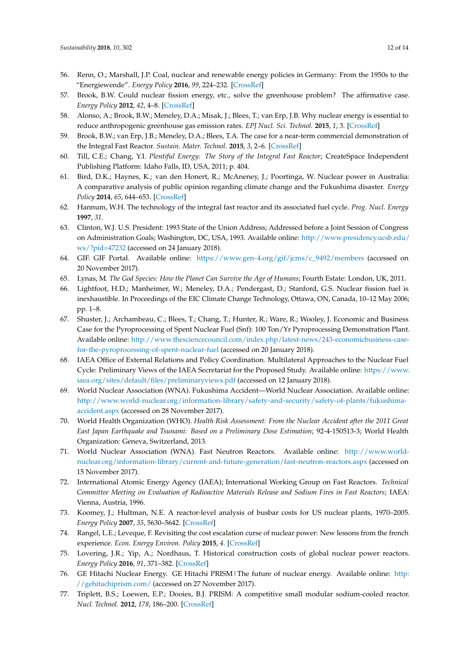- <span id="page-11-0"></span>56. Renn, O.; Marshall, J.P. Coal, nuclear and renewable energy policies in Germany: From the 1950s to the "Energiewende". *Energy Policy* **2016**, *99*, 224–232. [\[CrossRef\]](http://dx.doi.org/10.1016/j.enpol.2016.05.004)
- <span id="page-11-1"></span>57. Brook, B.W. Could nuclear fission energy, etc., solve the greenhouse problem? The affirmative case. *Energy Policy* **2012**, *42*, 4–8. [\[CrossRef\]](http://dx.doi.org/10.1016/j.enpol.2011.11.041)
- <span id="page-11-2"></span>58. Alonso, A.; Brook, B.W.; Meneley, D.A.; Misak, J.; Blees, T.; van Erp, J.B. Why nuclear energy is essential to reduce anthropogenic greenhouse gas emission rates. *EPJ Nucl. Sci. Technol.* **2015**, *1*, 3. [\[CrossRef\]](http://dx.doi.org/10.1051/epjn/e2015-50027-y)
- 59. Brook, B.W.; van Erp, J.B.; Meneley, D.A.; Blees, T.A. The case for a near-term commercial demonstration of the Integral Fast Reactor. *Sustain. Mater. Technol.* **2015**, *3*, 2–6. [\[CrossRef\]](http://dx.doi.org/10.1016/j.susmat.2014.11.004)
- <span id="page-11-8"></span>60. Till, C.E.; Chang, Y.I. *Plentiful Energy: The Story of the Integral Fast Reactor*; CreateSpace Independent Publishing Platform: Idaho Falls, ID, USA, 2011; p. 404.
- <span id="page-11-3"></span>61. Bird, D.K.; Haynes, K.; van den Honert, R.; McAneney, J.; Poortinga, W. Nuclear power in Australia: A comparative analysis of public opinion regarding climate change and the Fukushima disaster. *Energy Policy* **2014**, *65*, 644–653. [\[CrossRef\]](http://dx.doi.org/10.1016/j.enpol.2013.09.047)
- <span id="page-11-4"></span>62. Hannum, W.H. The technology of the integral fast reactor and its associated fuel cycle. *Prog. Nucl. Energy* **1997**, *31*.
- <span id="page-11-5"></span>63. Clinton, W.J. U.S. President: 1993 State of the Union Address; Addressed before a Joint Session of Congress on Administration Goals; Washington, DC, USA, 1993. Available online: [http://www.presidency.ucsb.edu/](http://www.presidency.ucsb.edu/ws/?pid=47232) [ws/?pid=47232](http://www.presidency.ucsb.edu/ws/?pid=47232) (accessed on 24 January 2018).
- <span id="page-11-6"></span>64. GIF. GIF Portal. Available online: [https://www.gen-4.org/gif/jcms/c\\_9492/members](https://www.gen-4.org/gif/jcms/c_9492/members) (accessed on 20 November 2017).
- <span id="page-11-7"></span>65. Lynas, M. *The God Species: How the Planet Can Survive the Age of Humans*; Fourth Estate: London, UK, 2011.
- <span id="page-11-9"></span>66. Lightfoot, H.D.; Manheimer, W.; Meneley, D.A.; Pendergast, D.; Stanford, G.S. Nuclear fission fuel is inexhaustible. In Proceedings of the EIC Climate Change Technology, Ottawa, ON, Canada, 10–12 May 2006; pp. 1–8.
- <span id="page-11-10"></span>67. Shuster, J.; Archambeau, C.; Blees, T.; Chang, T.; Hunter, R.; Ware, R.; Wooley, J. Economic and Business Case for the Pyroprocessing of Spent Nuclear Fuel (Snf): 100 Ton/Yr Pyroprocessing Demonstration Plant. Available online: [http://www.thesciencecouncil.com/index.php/latest-news/243-economicbusiness-case](http://www.thesciencecouncil.com/index.php/latest-news/243-economicbusiness-case-for-the-pyroprocessing-of-spent-nuclear-fuel)[for-the-pyroprocessing-of-spent-nuclear-fuel](http://www.thesciencecouncil.com/index.php/latest-news/243-economicbusiness-case-for-the-pyroprocessing-of-spent-nuclear-fuel) (accessed on 20 January 2018).
- <span id="page-11-11"></span>68. IAEA Office of External Relations and Policy Coordination. Multilateral Approaches to the Nuclear Fuel Cycle: Preliminary Views of the IAEA Secretariat for the Proposed Study. Available online: [https://www.](https://www.iaea.org/sites/default/files/preliminaryviews.pdf) [iaea.org/sites/default/files/preliminaryviews.pdf](https://www.iaea.org/sites/default/files/preliminaryviews.pdf) (accessed on 12 January 2018).
- <span id="page-11-12"></span>69. World Nuclear Association (WNA). Fukushima Accident—World Nuclear Association. Available online: [http://www.world-nuclear.org/information-library/safety-and-security/safety-of-plants/fukushima](http://www.world-nuclear.org/information-library/safety-and-security/safety-of-plants/fukushima-accident.aspx)[accident.aspx](http://www.world-nuclear.org/information-library/safety-and-security/safety-of-plants/fukushima-accident.aspx) (accessed on 28 November 2017).
- <span id="page-11-13"></span>70. World Health Organization (WHO). *Health Risk Assessment: From the Nuclear Accident after the 2011 Great East Japan Earthquake and Tsunami: Based on a Preliminary Dose Estimation*; 92-4-150513-3; World Health Organization: Geneva, Switzerland, 2013.
- <span id="page-11-14"></span>71. World Nuclear Association (WNA). Fast Neutron Reactors. Available online: [http://www.world](http://www.world-nuclear.org/information-library/current-and-future-generation/fast-neutron-reactors.aspx)[nuclear.org/information-library/current-and-future-generation/fast-neutron-reactors.aspx](http://www.world-nuclear.org/information-library/current-and-future-generation/fast-neutron-reactors.aspx) (accessed on 15 November 2017).
- <span id="page-11-15"></span>72. International Atomic Energy Agency (IAEA); International Working Group on Fast Reactors. *Technical Committee Meeting on Evaluation of Radioactive Materials Release and Sodium Fires in Fast Reactors*; IAEA: Vienna, Austria, 1996.
- <span id="page-11-16"></span>73. Koomey, J.; Hultman, N.E. A reactor-level analysis of busbar costs for US nuclear plants, 1970–2005. *Energy Policy* **2007**, *35*, 5630–5642. [\[CrossRef\]](http://dx.doi.org/10.1016/j.enpol.2007.06.005)
- <span id="page-11-17"></span>74. Rangel, L.E.; Leveque, F. Revisiting the cost escalation curse of nuclear power: New lessons from the french experience. *Econ. Energy Environ. Policy* **2015**, *4*. [\[CrossRef\]](http://dx.doi.org/10.5547/2160-5890.4.2.lran)
- <span id="page-11-18"></span>75. Lovering, J.R.; Yip, A.; Nordhaus, T. Historical construction costs of global nuclear power reactors. *Energy Policy* **2016**, *91*, 371–382. [\[CrossRef\]](http://dx.doi.org/10.1016/j.enpol.2016.01.011)
- <span id="page-11-19"></span>76. GE Hitachi Nuclear Energy. GE Hitachi PRISM | The future of nuclear energy. Available online: [http:](http://gehitachiprism.com/) [//gehitachiprism.com/](http://gehitachiprism.com/) (accessed on 27 November 2017).
- <span id="page-11-20"></span>77. Triplett, B.S.; Loewen, E.P.; Dooies, B.J. PRISM: A competitive small modular sodium-cooled reactor. *Nucl. Technol.* **2012**, *178*, 186–200. [\[CrossRef\]](http://dx.doi.org/10.13182/NT178-186)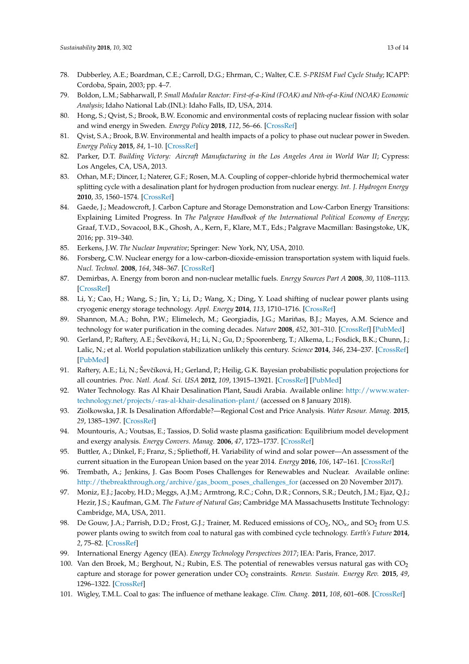- <span id="page-12-0"></span>78. Dubberley, A.E.; Boardman, C.E.; Carroll, D.G.; Ehrman, C.; Walter, C.E. *S-PRISM Fuel Cycle Study*; ICAPP: Cordoba, Spain, 2003; pp. 4–7.
- <span id="page-12-1"></span>79. Boldon, L.M.; Sabharwall, P. *Small Modular Reactor: First-of-a-Kind (FOAK) and Nth-of-a-Kind (NOAK) Economic Analysis*; Idaho National Lab.(INL): Idaho Falls, ID, USA, 2014.
- <span id="page-12-2"></span>80. Hong, S.; Qvist, S.; Brook, B.W. Economic and environmental costs of replacing nuclear fission with solar and wind energy in Sweden. *Energy Policy* **2018**, *112*, 56–66. [\[CrossRef\]](http://dx.doi.org/10.1016/j.enpol.2017.10.013)
- <span id="page-12-3"></span>81. Qvist, S.A.; Brook, B.W. Environmental and health impacts of a policy to phase out nuclear power in Sweden. *Energy Policy* **2015**, *84*, 1–10. [\[CrossRef\]](http://dx.doi.org/10.1016/j.enpol.2015.04.023)
- <span id="page-12-4"></span>82. Parker, D.T. *Building Victory: Aircraft Manufacturing in the Los Angeles Area in World War II; Cypress:* Los Angeles, CA, USA, 2013.
- <span id="page-12-5"></span>83. Orhan, M.F.; Dincer, I.; Naterer, G.F.; Rosen, M.A. Coupling of copper–chloride hybrid thermochemical water splitting cycle with a desalination plant for hydrogen production from nuclear energy. *Int. J. Hydrogen Energy* **2010**, *35*, 1560–1574. [\[CrossRef\]](http://dx.doi.org/10.1016/j.ijhydene.2009.11.106)
- <span id="page-12-6"></span>84. Gaede, J.; Meadowcroft, J. Carbon Capture and Storage Demonstration and Low-Carbon Energy Transitions: Explaining Limited Progress. In *The Palgrave Handbook of the International Political Economy of Energy*; Graaf, T.V.D., Sovacool, B.K., Ghosh, A., Kern, F., Klare, M.T., Eds.; Palgrave Macmillan: Basingstoke, UK, 2016; pp. 319–340.
- <span id="page-12-7"></span>85. Eerkens, J.W. *The Nuclear Imperative*; Springer: New York, NY, USA, 2010.
- <span id="page-12-8"></span>86. Forsberg, C.W. Nuclear energy for a low-carbon-dioxide-emission transportation system with liquid fuels. *Nucl. Technol.* **2008**, *164*, 348–367. [\[CrossRef\]](http://dx.doi.org/10.13182/NT164-348)
- <span id="page-12-9"></span>87. Demirbas, A. Energy from boron and non-nuclear metallic fuels. *Energy Sources Part A* **2008**, *30*, 1108–1113. [\[CrossRef\]](http://dx.doi.org/10.1080/15567030601096092)
- <span id="page-12-10"></span>88. Li, Y.; Cao, H.; Wang, S.; Jin, Y.; Li, D.; Wang, X.; Ding, Y. Load shifting of nuclear power plants using cryogenic energy storage technology. *Appl. Energy* **2014**, *113*, 1710–1716. [\[CrossRef\]](http://dx.doi.org/10.1016/j.apenergy.2013.08.077)
- <span id="page-12-11"></span>89. Shannon, M.A.; Bohn, P.W.; Elimelech, M.; Georgiadis, J.G.; Mariñas, B.J.; Mayes, A.M. Science and technology for water purification in the coming decades. *Nature* **2008**, *452*, 301–310. [\[CrossRef\]](http://dx.doi.org/10.1038/nature06599) [\[PubMed\]](http://www.ncbi.nlm.nih.gov/pubmed/18354474)
- <span id="page-12-12"></span>90. Gerland, P.; Raftery, A.E.; Ševčíková, H.; Li, N.; Gu, D.; Spoorenberg, T.; Alkema, L.; Fosdick, B.K.; Chunn, J.; Lalic, N.; et al. World population stabilization unlikely this century. *Science* **2014**, *346*, 234–237. [\[CrossRef\]](http://dx.doi.org/10.1126/science.1257469) [\[PubMed\]](http://www.ncbi.nlm.nih.gov/pubmed/25301627)
- <span id="page-12-13"></span>91. Raftery, A.E.; Li, N.; Ševčíková, H.; Gerland, P.; Heilig, G.K. Bayesian probabilistic population projections for all countries. *Proc. Natl. Acad. Sci. USA* **2012**, *109*, 13915–13921. [\[CrossRef\]](http://dx.doi.org/10.1073/pnas.1211452109) [\[PubMed\]](http://www.ncbi.nlm.nih.gov/pubmed/22908249)
- <span id="page-12-14"></span>92. Water Technology. Ras Al Khair Desalination Plant, Saudi Arabia. Available online: [http://www.water](http://www.water-technology.net/projects/-ras-al-khair-desalination-plant/)[technology.net/projects/-ras-al-khair-desalination-plant/](http://www.water-technology.net/projects/-ras-al-khair-desalination-plant/) (accessed on 8 January 2018).
- <span id="page-12-15"></span>93. Ziolkowska, J.R. Is Desalination Affordable?—Regional Cost and Price Analysis. *Water Resour. Manag.* **2015**, *29*, 1385–1397. [\[CrossRef\]](http://dx.doi.org/10.1007/s11269-014-0901-y)
- <span id="page-12-16"></span>94. Mountouris, A.; Voutsas, E.; Tassios, D. Solid waste plasma gasification: Equilibrium model development and exergy analysis. *Energy Convers. Manag.* **2006**, *47*, 1723–1737. [\[CrossRef\]](http://dx.doi.org/10.1016/j.enconman.2005.10.015)
- <span id="page-12-17"></span>95. Buttler, A.; Dinkel, F.; Franz, S.; Spliethoff, H. Variability of wind and solar power—An assessment of the current situation in the European Union based on the year 2014. *Energy* **2016**, *106*, 147–161. [\[CrossRef\]](http://dx.doi.org/10.1016/j.energy.2016.03.041)
- <span id="page-12-18"></span>96. Trembath, A.; Jenkins, J. Gas Boom Poses Challenges for Renewables and Nuclear. Available online: [http://thebreakthrough.org/archive/gas\\_boom\\_poses\\_challenges\\_for](http://thebreakthrough.org/archive/gas_boom_poses_challenges_for) (accessed on 20 November 2017).
- <span id="page-12-19"></span>97. Moniz, E.J.; Jacoby, H.D.; Meggs, A.J.M.; Armtrong, R.C.; Cohn, D.R.; Connors, S.R.; Deutch, J.M.; Ejaz, Q.J.; Hezir, J.S.; Kaufman, G.M. *The Future of Natural Gas*; Cambridge MA Massachusetts Institute Technology: Cambridge, MA, USA, 2011.
- <span id="page-12-20"></span>98. De Gouw, J.A.; Parrish, D.D.; Frost, G.J.; Trainer, M. Reduced emissions of  $CO_2$ ,  $NO_x$ , and  $SO_2$  from U.S. power plants owing to switch from coal to natural gas with combined cycle technology. *Earth's Future* **2014**, *2*, 75–82. [\[CrossRef\]](http://dx.doi.org/10.1002/2013EF000196)
- <span id="page-12-21"></span>99. International Energy Agency (IEA). *Energy Technology Perspectives 2017*; IEA: Paris, France, 2017.
- <span id="page-12-22"></span>100. Van den Broek, M.; Berghout, N.; Rubin, E.S. The potential of renewables versus natural gas with  $CO<sub>2</sub>$ capture and storage for power generation under CO<sup>2</sup> constraints. *Renew. Sustain. Energy Rev.* **2015**, *49*, 1296–1322. [\[CrossRef\]](http://dx.doi.org/10.1016/j.rser.2015.04.089)
- <span id="page-12-23"></span>101. Wigley, T.M.L. Coal to gas: The influence of methane leakage. *Clim. Chang.* **2011**, *108*, 601–608. [\[CrossRef\]](http://dx.doi.org/10.1007/s10584-011-0217-3)